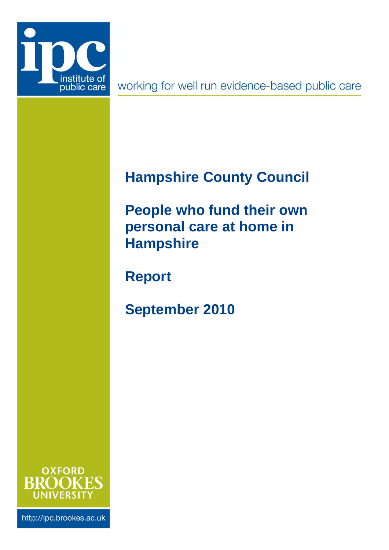

working for well run evidence-based public care

# <span id="page-0-0"></span>**Hampshire County Council**

<span id="page-0-1"></span>**People who fund their own personal care at home in Hampshire**

**Report**

**September 2010**



http://ipc.brookes.ac.uk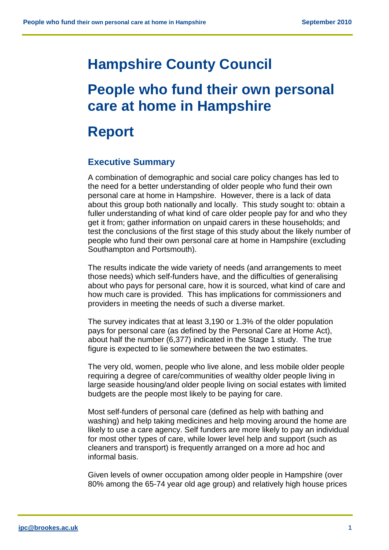# **[Hampshire County Council](#page-0-0)**

# **[People who fund their own personal](#page-0-1)  [care at home in Hampshire](#page-0-1)**

# **Report**

# **Executive Summary**

A combination of demographic and social care policy changes has led to the need for a better understanding of older people who fund their own personal care at home in Hampshire. However, there is a lack of data about this group both nationally and locally. This study sought to: obtain a fuller understanding of what kind of care older people pay for and who they get it from; gather information on unpaid carers in these households; and test the conclusions of the first stage of this study about the likely number of people who fund their own personal care at home in Hampshire (excluding Southampton and Portsmouth).

The results indicate the wide variety of needs (and arrangements to meet those needs) which self-funders have, and the difficulties of generalising about who pays for personal care, how it is sourced, what kind of care and how much care is provided. This has implications for commissioners and providers in meeting the needs of such a diverse market.

The survey indicates that at least 3,190 or 1.3% of the older population pays for personal care (as defined by the Personal Care at Home Act), about half the number (6,377) indicated in the Stage 1 study. The true figure is expected to lie somewhere between the two estimates.

The very old, women, people who live alone, and less mobile older people requiring a degree of care/communities of wealthy older people living in large seaside housing/and older people living on social estates with limited budgets are the people most likely to be paying for care.

Most self-funders of personal care (defined as help with bathing and washing) and help taking medicines and help moving around the home are likely to use a care agency. Self funders are more likely to pay an individual for most other types of care, while lower level help and support (such as cleaners and transport) is frequently arranged on a more ad hoc and informal basis.

Given levels of owner occupation among older people in Hampshire (over 80% among the 65-74 year old age group) and relatively high house prices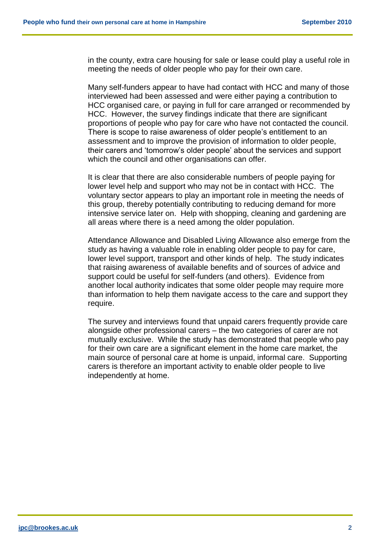in the county, extra care housing for sale or lease could play a useful role in meeting the needs of older people who pay for their own care.

Many self-funders appear to have had contact with HCC and many of those interviewed had been assessed and were either paying a contribution to HCC organised care, or paying in full for care arranged or recommended by HCC. However, the survey findings indicate that there are significant proportions of people who pay for care who have not contacted the council. There is scope to raise awareness of older people's entitlement to an assessment and to improve the provision of information to older people, their carers and 'tomorrow's older people' about the services and support which the council and other organisations can offer.

It is clear that there are also considerable numbers of people paying for lower level help and support who may not be in contact with HCC. The voluntary sector appears to play an important role in meeting the needs of this group, thereby potentially contributing to reducing demand for more intensive service later on. Help with shopping, cleaning and gardening are all areas where there is a need among the older population.

Attendance Allowance and Disabled Living Allowance also emerge from the study as having a valuable role in enabling older people to pay for care, lower level support, transport and other kinds of help. The study indicates that raising awareness of available benefits and of sources of advice and support could be useful for self-funders (and others). Evidence from another local authority indicates that some older people may require more than information to help them navigate access to the care and support they require.

The survey and interviews found that unpaid carers frequently provide care alongside other professional carers – the two categories of carer are not mutually exclusive. While the study has demonstrated that people who pay for their own care are a significant element in the home care market, the main source of personal care at home is unpaid, informal care. Supporting carers is therefore an important activity to enable older people to live independently at home.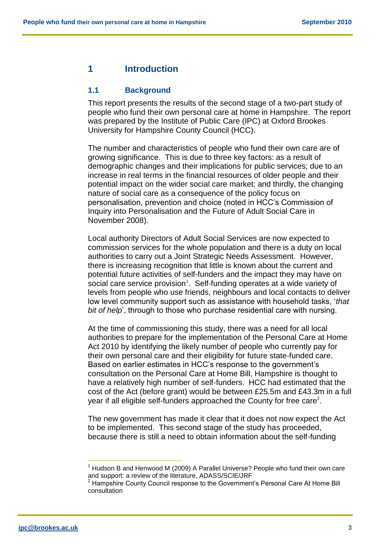## **1 Introduction**

#### **1.1 Background**

This report presents the results of the second stage of a two-part study of people who fund their own personal care at home in Hampshire. The report was prepared by the Institute of Public Care (IPC) at Oxford Brookes University for Hampshire County Council (HCC).

The number and characteristics of people who fund their own care are of growing significance. This is due to three key factors: as a result of demographic changes and their implications for public services; due to an increase in real terms in the financial resources of older people and their potential impact on the wider social care market; and thirdly, the changing nature of social care as a consequence of the policy focus on personalisation, prevention and choice (noted in HCC's Commission of Inquiry into Personalisation and the Future of Adult Social Care in November 2008).

Local authority Directors of Adult Social Services are now expected to commission services for the whole population and there is a duty on local authorities to carry out a Joint Strategic Needs Assessment. However, there is increasing recognition that little is known about the current and potential future activities of self-funders and the impact they may have on social care service provision<sup>1</sup>. Self-funding operates at a wide variety of levels from people who use friends, neighbours and local contacts to deliver low level community support such as assistance with household tasks, '*that bit of help*', through to those who purchase residential care with nursing.

At the time of commissioning this study, there was a need for all local authorities to prepare for the implementation of the Personal Care at Home Act 2010 by identifying the likely number of people who currently pay for their own personal care and their eligibility for future state-funded care. Based on earlier estimates in HCC's response to the government's consultation on the Personal Care at Home Bill, Hampshire is thought to have a relatively high number of self-funders. HCC had estimated that the cost of the Act (before grant) would be between £25.5m and £43.3m in a full year if all eligible self-funders approached the County for free care<sup>2</sup>.

The new government has made it clear that it does not now expect the Act to be implemented. This second stage of the study has proceeded, because there is still a need to obtain information about the self-funding

 $\overline{a}$ 

<sup>1</sup> Hudson B and Henwood M (2009) A Parallel Universe? People who fund their own care and support: a review of the literature, ADASS/SCIE/JRF

 $^2$  Hampshire County Council response to the Government's Personal Care At Home Bill consultation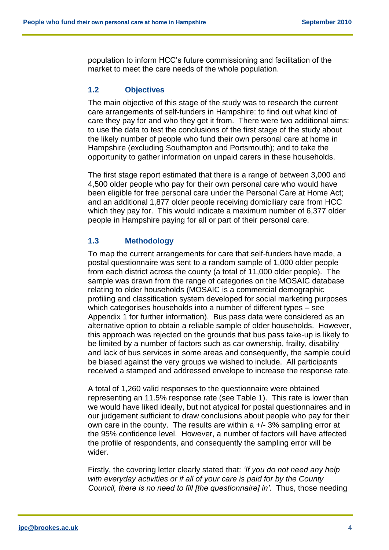population to inform HCC's future commissioning and facilitation of the market to meet the care needs of the whole population.

## **1.2 Objectives**

The main objective of this stage of the study was to research the current care arrangements of self-funders in Hampshire: to find out what kind of care they pay for and who they get it from. There were two additional aims: to use the data to test the conclusions of the first stage of the study about the likely number of people who fund their own personal care at home in Hampshire (excluding Southampton and Portsmouth); and to take the opportunity to gather information on unpaid carers in these households.

The first stage report estimated that there is a range of between 3,000 and 4,500 older people who pay for their own personal care who would have been eligible for free personal care under the Personal Care at Home Act; and an additional 1,877 older people receiving domiciliary care from HCC which they pay for. This would indicate a maximum number of 6,377 older people in Hampshire paying for all or part of their personal care.

## **1.3 Methodology**

To map the current arrangements for care that self-funders have made, a postal questionnaire was sent to a random sample of 1,000 older people from each district across the county (a total of 11,000 older people). The sample was drawn from the range of categories on the MOSAIC database relating to older households (MOSAIC is a commercial demographic profiling and classification system developed for social marketing purposes which categorises households into a number of different types – see Appendix 1 for further information). Bus pass data were considered as an alternative option to obtain a reliable sample of older households. However, this approach was rejected on the grounds that bus pass take-up is likely to be limited by a number of factors such as car ownership, frailty, disability and lack of bus services in some areas and consequently, the sample could be biased against the very groups we wished to include. All participants received a stamped and addressed envelope to increase the response rate.

A total of 1,260 valid responses to the questionnaire were obtained representing an 11.5% response rate (see Table 1). This rate is lower than we would have liked ideally, but not atypical for postal questionnaires and in our judgement sufficient to draw conclusions about people who pay for their own care in the county. The results are within a +/- 3% sampling error at the 95% confidence level. However, a number of factors will have affected the profile of respondents, and consequently the sampling error will be wider.

Firstly, the covering letter clearly stated that: *'If you do not need any help with everyday activities or if all of your care is paid for by the County Council, there is no need to fill [the questionnaire] in'*. Thus, those needing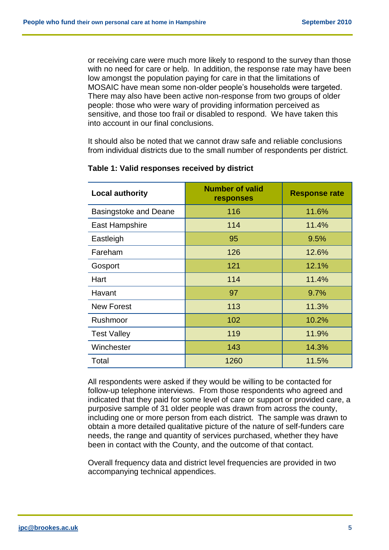or receiving care were much more likely to respond to the survey than those with no need for care or help. In addition, the response rate may have been low amongst the population paying for care in that the limitations of MOSAIC have mean some non-older people's households were targeted. There may also have been active non-response from two groups of older people: those who were wary of providing information perceived as sensitive, and those too frail or disabled to respond. We have taken this into account in our final conclusions.

It should also be noted that we cannot draw safe and reliable conclusions from individual districts due to the small number of respondents per district.

| <b>Local authority</b>       | <b>Number of valid</b><br>responses | <b>Response rate</b> |
|------------------------------|-------------------------------------|----------------------|
| <b>Basingstoke and Deane</b> | 116                                 | 11.6%                |
| East Hampshire               | 114                                 | 11.4%                |
| Eastleigh                    | 95                                  | 9.5%                 |
| Fareham                      | 126                                 | 12.6%                |
| Gosport                      | 121                                 | 12.1%                |
| Hart                         | 114                                 | 11.4%                |
| Havant                       | 97                                  | 9.7%                 |
| <b>New Forest</b>            | 113                                 | 11.3%                |
| Rushmoor                     | 102                                 | 10.2%                |
| <b>Test Valley</b>           | 119                                 | 11.9%                |
| Winchester                   | 143                                 | 14.3%                |
| Total                        | 1260                                | 11.5%                |

#### **Table 1: Valid responses received by district**

All respondents were asked if they would be willing to be contacted for follow-up telephone interviews. From those respondents who agreed and indicated that they paid for some level of care or support or provided care, a purposive sample of 31 older people was drawn from across the county, including one or more person from each district. The sample was drawn to obtain a more detailed qualitative picture of the nature of self-funders care needs, the range and quantity of services purchased, whether they have been in contact with the County, and the outcome of that contact.

Overall frequency data and district level frequencies are provided in two accompanying technical appendices.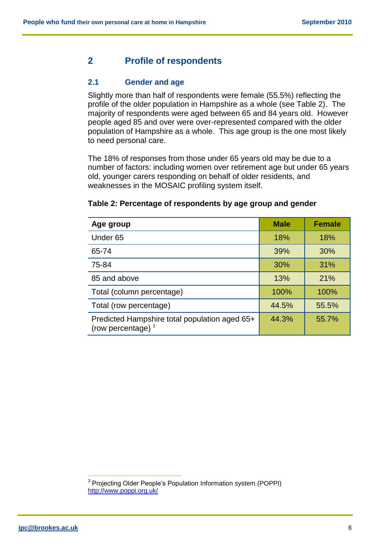## **2 Profile of respondents**

#### **2.1 Gender and age**

Slightly more than half of respondents were female (55.5%) reflecting the profile of the older population in Hampshire as a whole (see Table 2). The majority of respondents were aged between 65 and 84 years old. However people aged 85 and over were over-represented compared with the older population of Hampshire as a whole. This age group is the one most likely to need personal care.

The 18% of responses from those under 65 years old may be due to a number of factors: including women over retirement age but under 65 years old, younger carers responding on behalf of older residents, and weaknesses in the MOSAIC profiling system itself.

| Age group                                                             | <b>Male</b> | <b>Female</b> |
|-----------------------------------------------------------------------|-------------|---------------|
| Under <sub>65</sub>                                                   | 18%         | 18%           |
| 65-74                                                                 | 39%         | 30%           |
| 75-84                                                                 | 30%         | 31%           |
| 85 and above                                                          | 13%         | 21%           |
| Total (column percentage)                                             | 100%        | 100%          |
| Total (row percentage)                                                | 44.5%       | 55.5%         |
| Predicted Hampshire total population aged 65+<br>(row percentage) $3$ | 44.3%       | 55.7%         |

#### **Table 2: Percentage of respondents by age group and gender**

 $\overline{a}$ <sup>3</sup> Projecting Older People's Population Information system (POPPI) <http://www.poppi.org.uk/>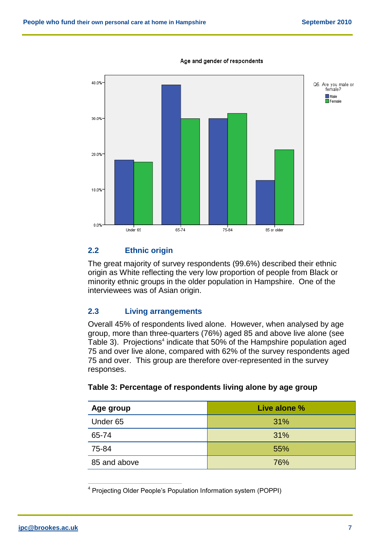

#### Age and gender of respondents

### **2.2 Ethnic origin**

The great majority of survey respondents (99.6%) described their ethnic origin as White reflecting the very low proportion of people from Black or minority ethnic groups in the older population in Hampshire. One of the interviewees was of Asian origin.

### **2.3 Living arrangements**

Overall 45% of respondents lived alone. However, when analysed by age group, more than three-quarters (76%) aged 85 and above live alone (see Table 3). Projections<sup>4</sup> indicate that 50% of the Hampshire population aged 75 and over live alone, compared with 62% of the survey respondents aged 75 and over. This group are therefore over-represented in the survey responses.

| Age group           | Live alone % |
|---------------------|--------------|
| Under <sub>65</sub> | 31%          |
| 65-74               | 31%          |
| 75-84               | 55%          |
| 85 and above        | 76%          |

#### **Table 3: Percentage of respondents living alone by age group**

 $\overline{a}$ 

<sup>&</sup>lt;sup>4</sup> Projecting Older People's Population Information system (POPPI)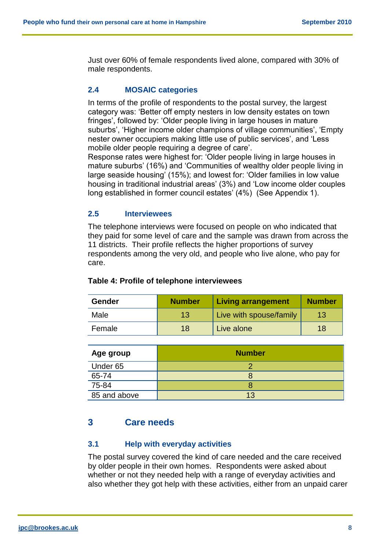Just over 60% of female respondents lived alone, compared with 30% of male respondents.

## **2.4 MOSAIC categories**

In terms of the profile of respondents to the postal survey, the largest category was: 'Better off empty nesters in low density estates on town fringes', followed by: 'Older people living in large houses in mature suburbs', 'Higher income older champions of village communities', 'Empty nester owner occupiers making little use of public services', and 'Less mobile older people requiring a degree of care'.

Response rates were highest for: 'Older people living in large houses in mature suburbs' (16%) and 'Communities of wealthy older people living in large seaside housing' (15%); and lowest for: 'Older families in low value housing in traditional industrial areas' (3%) and 'Low income older couples long established in former council estates' (4%) (See Appendix 1).

## **2.5 Interviewees**

The telephone interviews were focused on people on who indicated that they paid for some level of care and the sample was drawn from across the 11 districts. Their profile reflects the higher proportions of survey respondents among the very old, and people who live alone, who pay for care.

| <b>Gender</b> | <b>Number</b> | <b>Living arrangement</b> | <b>Number</b> |
|---------------|---------------|---------------------------|---------------|
| Male          | 13            | Live with spouse/family   | 13            |
| Female        | 18            | Live alone                | 18            |

## **Table 4: Profile of telephone interviewees**

| Age group           | <b>Number</b> |
|---------------------|---------------|
| Under <sub>65</sub> |               |
| 65-74               |               |
| 75-84               |               |
| 85 and above        | 13            |

# **3 Care needs**

## **3.1 Help with everyday activities**

The postal survey covered the kind of care needed and the care received by older people in their own homes. Respondents were asked about whether or not they needed help with a range of everyday activities and also whether they got help with these activities, either from an unpaid carer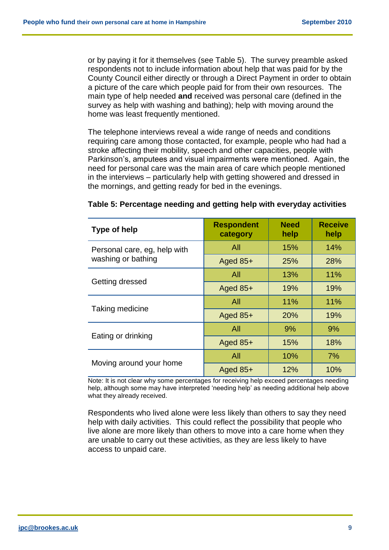or by paying it for it themselves (see Table 5). The survey preamble asked respondents not to include information about help that was paid for by the County Council either directly or through a Direct Payment in order to obtain a picture of the care which people paid for from their own resources. The main type of help needed **and** received was personal care (defined in the survey as help with washing and bathing); help with moving around the home was least frequently mentioned.

The telephone interviews reveal a wide range of needs and conditions requiring care among those contacted, for example, people who had had a stroke affecting their mobility, speech and other capacities, people with Parkinson's, amputees and visual impairments were mentioned. Again, the need for personal care was the main area of care which people mentioned in the interviews – particularly help with getting showered and dressed in the mornings, and getting ready for bed in the evenings.

| <b>Type of help</b>          | <b>Respondent</b><br>category | <b>Need</b><br>help | <b>Receive</b><br>help |
|------------------------------|-------------------------------|---------------------|------------------------|
| Personal care, eg, help with | All                           | 15%                 | 14%                    |
| washing or bathing           | Aged $85+$                    | <b>25%</b>          | 28%                    |
|                              | All                           | 13%                 | 11%                    |
| Getting dressed              | Aged $85+$                    | 19%                 | 19%                    |
|                              | All                           | 11%                 | 11%                    |
| Taking medicine              | Aged $85+$                    | 20%                 | 19%                    |
|                              | All                           | 9%                  | 9%                     |
| Eating or drinking           | Aged $85+$                    | 15%                 | 18%                    |
|                              | All                           | 10%                 | 7%                     |
| Moving around your home      | Aged 85+                      | 12%                 | 10%                    |

| Table 5: Percentage needing and getting help with everyday activities |  |  |  |  |  |
|-----------------------------------------------------------------------|--|--|--|--|--|
|-----------------------------------------------------------------------|--|--|--|--|--|

Note: It is not clear why some percentages for receiving help exceed percentages needing help, although some may have interpreted 'needing help' as needing additional help above what they already received.

Respondents who lived alone were less likely than others to say they need help with daily activities. This could reflect the possibility that people who live alone are more likely than others to move into a care home when they are unable to carry out these activities, as they are less likely to have access to unpaid care.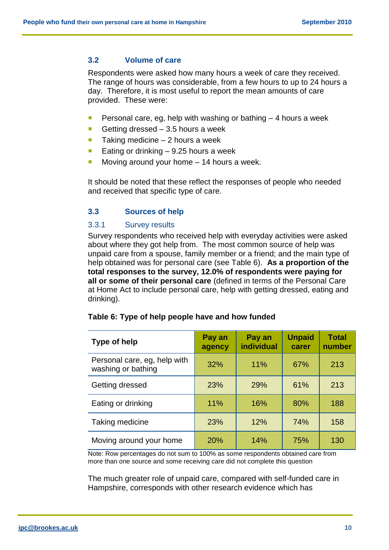#### **3.2 Volume of care**

Respondents were asked how many hours a week of care they received. The range of hours was considerable, from a few hours to up to 24 hours a day. Therefore, it is most useful to report the mean amounts of care provided. These were:

- **Personal care, eg, help with washing or bathing**  $-4$  **hours a week**
- Getting dressed  $-3.5$  hours a week
- $\blacksquare$  Taking medicine 2 hours a week
- **Eating or drinking 9.25 hours a week**
- Moving around your home 14 hours a week.

It should be noted that these reflect the responses of people who needed and received that specific type of care.

#### **3.3 Sources of help**

#### 3.3.1 Survey results

Survey respondents who received help with everyday activities were asked about where they got help from. The most common source of help was unpaid care from a spouse, family member or a friend; and the main type of help obtained was for personal care (see Table 6). **As a proportion of the total responses to the survey, 12.0% of respondents were paying for all or some of their personal care** (defined in terms of the Personal Care at Home Act to include personal care, help with getting dressed, eating and drinking).

| Type of help                                       | Pay an<br>agency | Pay an<br>individual | <b>Unpaid</b><br>carer | <b>Total</b><br>number |
|----------------------------------------------------|------------------|----------------------|------------------------|------------------------|
| Personal care, eg, help with<br>washing or bathing | 32%              | 11%                  | 67%                    | 213                    |
| Getting dressed                                    | 23%              | 29%                  | 61%                    | 213                    |
| Eating or drinking                                 | 11%              | 16%                  | 80%                    | 188                    |
| Taking medicine                                    | 23%              | 12%                  | 74%                    | 158                    |
| Moving around your home                            | 20%              | 14%                  | 75%                    | 130                    |

#### **Table 6: Type of help people have and how funded**

Note: Row percentages do not sum to 100% as some respondents obtained care from more than one source and some receiving care did not complete this question

The much greater role of unpaid care, compared with self-funded care in Hampshire, corresponds with other research evidence which has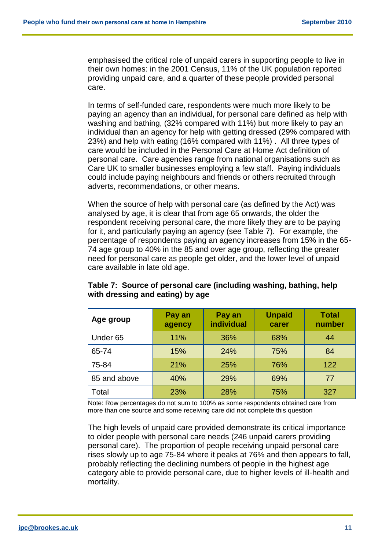emphasised the critical role of unpaid carers in supporting people to live in their own homes: in the 2001 Census, 11% of the UK population reported providing unpaid care, and a quarter of these people provided personal care.

In terms of self-funded care, respondents were much more likely to be paying an agency than an individual, for personal care defined as help with washing and bathing, (32% compared with 11%) but more likely to pay an individual than an agency for help with getting dressed (29% compared with 23%) and help with eating (16% compared with 11%) . All three types of care would be included in the Personal Care at Home Act definition of personal care. Care agencies range from national organisations such as Care UK to smaller businesses employing a few staff. Paying individuals could include paying neighbours and friends or others recruited through adverts, recommendations, or other means.

When the source of help with personal care (as defined by the Act) was analysed by age, it is clear that from age 65 onwards, the older the respondent receiving personal care, the more likely they are to be paying for it, and particularly paying an agency (see Table 7). For example, the percentage of respondents paying an agency increases from 15% in the 65- 74 age group to 40% in the 85 and over age group, reflecting the greater need for personal care as people get older, and the lower level of unpaid care available in late old age.

| Age group           | Pay an<br>agency | Pay an<br><b>individual</b> | <b>Unpaid</b><br>carer | <b>Total</b><br>number |
|---------------------|------------------|-----------------------------|------------------------|------------------------|
| Under <sub>65</sub> | 11%              | 36%                         | 68%                    | 44                     |
| 65-74               | 15%              | 24%                         | 75%                    | 84                     |
| 75-84               | 21%              | 25%                         | 76%                    | 122                    |
| 85 and above        | 40%              | 29%                         | 69%                    | 77                     |
| Total               | 23%              | 28%                         | 75%                    | 327                    |

### **Table 7: Source of personal care (including washing, bathing, help with dressing and eating) by age**

Note: Row percentages do not sum to 100% as some respondents obtained care from more than one source and some receiving care did not complete this question

The high levels of unpaid care provided demonstrate its critical importance to older people with personal care needs (246 unpaid carers providing personal care). The proportion of people receiving unpaid personal care rises slowly up to age 75-84 where it peaks at 76% and then appears to fall, probably reflecting the declining numbers of people in the highest age category able to provide personal care, due to higher levels of ill-health and mortality.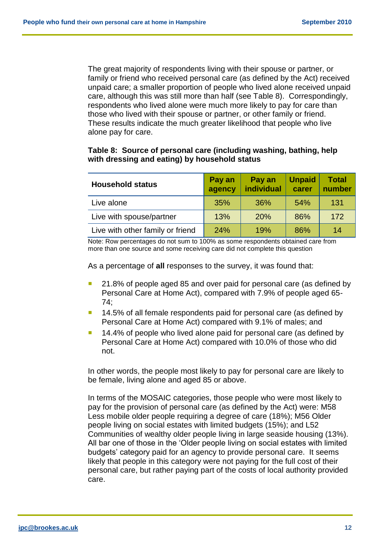The great majority of respondents living with their spouse or partner, or family or friend who received personal care (as defined by the Act) received unpaid care; a smaller proportion of people who lived alone received unpaid care, although this was still more than half (see Table 8). Correspondingly, respondents who lived alone were much more likely to pay for care than those who lived with their spouse or partner, or other family or friend. These results indicate the much greater likelihood that people who live alone pay for care.

#### **Table 8: Source of personal care (including washing, bathing, help with dressing and eating) by household status**

| <b>Household status</b>          | Pay an<br>agency | Pay an<br>individual | <b>Unpaid</b><br>carer | <b>Total</b><br>number |
|----------------------------------|------------------|----------------------|------------------------|------------------------|
| Live alone                       | 35%              | 36%                  | 54%                    | 131                    |
| Live with spouse/partner         | 13%              | <b>20%</b>           | 86%                    | 172                    |
| Live with other family or friend | 24%              | 19%                  | 86%                    | 14                     |

Note: Row percentages do not sum to 100% as some respondents obtained care from more than one source and some receiving care did not complete this question

As a percentage of **all** responses to the survey, it was found that:

- 21.8% of people aged 85 and over paid for personal care (as defined by Personal Care at Home Act), compared with 7.9% of people aged 65- 74;
- 14.5% of all female respondents paid for personal care (as defined by Personal Care at Home Act) compared with 9.1% of males; and
- 14.4% of people who lived alone paid for personal care (as defined by Personal Care at Home Act) compared with 10.0% of those who did not.

In other words, the people most likely to pay for personal care are likely to be female, living alone and aged 85 or above.

In terms of the MOSAIC categories, those people who were most likely to pay for the provision of personal care (as defined by the Act) were: M58 Less mobile older people requiring a degree of care (18%); M56 Older people living on social estates with limited budgets (15%); and L52 Communities of wealthy older people living in large seaside housing (13%). All bar one of those in the 'Older people living on social estates with limited budgets' category paid for an agency to provide personal care. It seems likely that people in this category were not paying for the full cost of their personal care, but rather paying part of the costs of local authority provided care.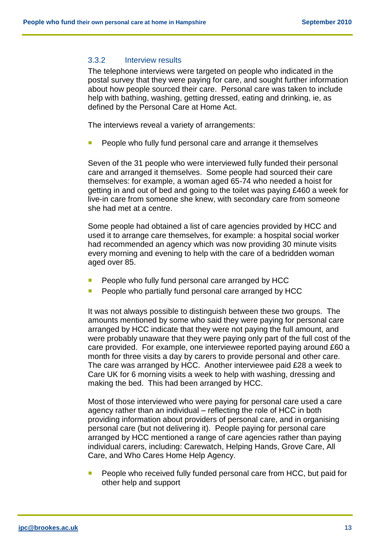#### 3.3.2 Interview results

The telephone interviews were targeted on people who indicated in the postal survey that they were paying for care, and sought further information about how people sourced their care. Personal care was taken to include help with bathing, washing, getting dressed, eating and drinking, ie, as defined by the Personal Care at Home Act.

The interviews reveal a variety of arrangements:

People who fully fund personal care and arrange it themselves

Seven of the 31 people who were interviewed fully funded their personal care and arranged it themselves. Some people had sourced their care themselves: for example, a woman aged 65-74 who needed a hoist for getting in and out of bed and going to the toilet was paying £460 a week for live-in care from someone she knew, with secondary care from someone she had met at a centre.

Some people had obtained a list of care agencies provided by HCC and used it to arrange care themselves, for example: a hospital social worker had recommended an agency which was now providing 30 minute visits every morning and evening to help with the care of a bedridden woman aged over 85.

- People who fully fund personal care arranged by HCC
- People who partially fund personal care arranged by HCC

It was not always possible to distinguish between these two groups. The amounts mentioned by some who said they were paying for personal care arranged by HCC indicate that they were not paying the full amount, and were probably unaware that they were paying only part of the full cost of the care provided. For example, one interviewee reported paying around £60 a month for three visits a day by carers to provide personal and other care. The care was arranged by HCC. Another interviewee paid £28 a week to Care UK for 6 morning visits a week to help with washing, dressing and making the bed. This had been arranged by HCC.

Most of those interviewed who were paying for personal care used a care agency rather than an individual – reflecting the role of HCC in both providing information about providers of personal care, and in organising personal care (but not delivering it). People paying for personal care arranged by HCC mentioned a range of care agencies rather than paying individual carers, including: Carewatch, Helping Hands, Grove Care, All Care, and Who Cares Home Help Agency.

 People who received fully funded personal care from HCC, but paid for other help and support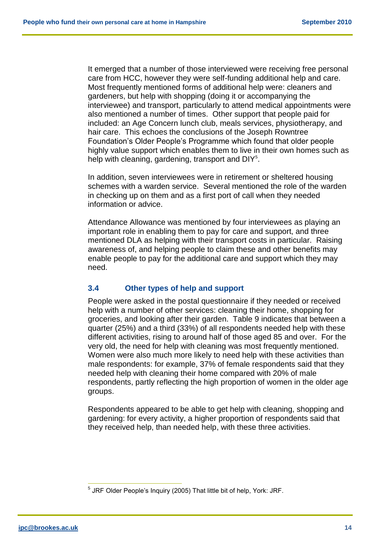It emerged that a number of those interviewed were receiving free personal care from HCC, however they were self-funding additional help and care. Most frequently mentioned forms of additional help were: cleaners and gardeners, but help with shopping (doing it or accompanying the interviewee) and transport, particularly to attend medical appointments were also mentioned a number of times. Other support that people paid for included: an Age Concern lunch club, meals services, physiotherapy, and hair care. This echoes the conclusions of the Joseph Rowntree Foundation's Older People's Programme which found that older people highly value support which enables them to live in their own homes such as help with cleaning, gardening, transport and DIY<sup>5</sup>.

In addition, seven interviewees were in retirement or sheltered housing schemes with a warden service. Several mentioned the role of the warden in checking up on them and as a first port of call when they needed information or advice.

Attendance Allowance was mentioned by four interviewees as playing an important role in enabling them to pay for care and support, and three mentioned DLA as helping with their transport costs in particular. Raising awareness of, and helping people to claim these and other benefits may enable people to pay for the additional care and support which they may need.

#### **3.4 Other types of help and support**

People were asked in the postal questionnaire if they needed or received help with a number of other services: cleaning their home, shopping for groceries, and looking after their garden. Table 9 indicates that between a quarter (25%) and a third (33%) of all respondents needed help with these different activities, rising to around half of those aged 85 and over. For the very old, the need for help with cleaning was most frequently mentioned. Women were also much more likely to need help with these activities than male respondents: for example, 37% of female respondents said that they needed help with cleaning their home compared with 20% of male respondents, partly reflecting the high proportion of women in the older age groups.

Respondents appeared to be able to get help with cleaning, shopping and gardening: for every activity, a higher proportion of respondents said that they received help, than needed help, with these three activities.

 $\overline{a}$ <sup>5</sup> JRF Older People's Inquiry (2005) That little bit of help, York: JRF.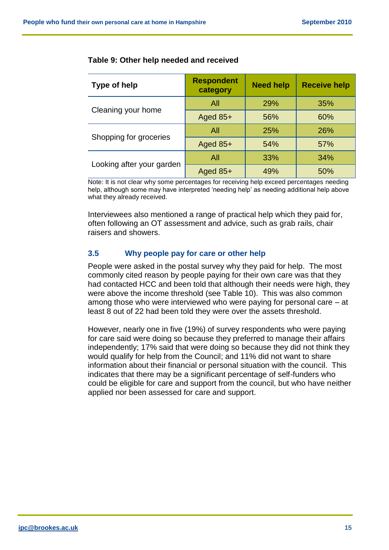| Type of help              | <b>Respondent</b><br>category | <b>Need help</b> | <b>Receive help</b> |
|---------------------------|-------------------------------|------------------|---------------------|
| All                       |                               | 29%              | 35%                 |
| Cleaning your home        | Aged $85+$                    | 56%              | 60%                 |
|                           | All                           | 25%              | 26%                 |
| Shopping for groceries    | Aged 85+                      | 54%              | 57%                 |
|                           | All                           | 33%              | 34%                 |
| Looking after your garden | Aged $85+$                    | 49%              | 50%                 |

#### **Table 9: Other help needed and received**

Note: It is not clear why some percentages for receiving help exceed percentages needing help, although some may have interpreted 'needing help' as needing additional help above what they already received.

Interviewees also mentioned a range of practical help which they paid for, often following an OT assessment and advice, such as grab rails, chair raisers and showers.

#### **3.5 Why people pay for care or other help**

People were asked in the postal survey why they paid for help. The most commonly cited reason by people paying for their own care was that they had contacted HCC and been told that although their needs were high, they were above the income threshold (see Table 10). This was also common among those who were interviewed who were paying for personal care – at least 8 out of 22 had been told they were over the assets threshold.

However, nearly one in five (19%) of survey respondents who were paying for care said were doing so because they preferred to manage their affairs independently; 17% said that were doing so because they did not think they would qualify for help from the Council; and 11% did not want to share information about their financial or personal situation with the council. This indicates that there may be a significant percentage of self-funders who could be eligible for care and support from the council, but who have neither applied nor been assessed for care and support.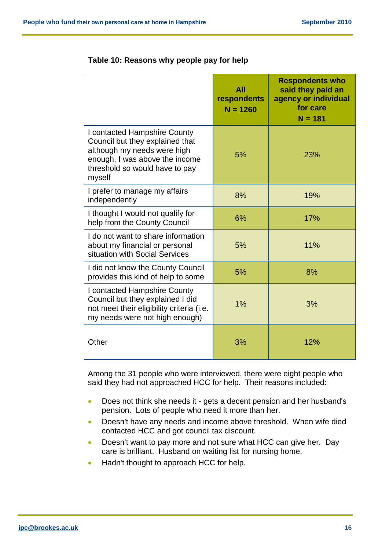|                                                                                                                                                                              | All<br>respondents<br>$N = 1260$ | <b>Respondents who</b><br>said they paid an<br>agency or individual<br>for care<br>$N = 181$ |
|------------------------------------------------------------------------------------------------------------------------------------------------------------------------------|----------------------------------|----------------------------------------------------------------------------------------------|
| I contacted Hampshire County<br>Council but they explained that<br>although my needs were high<br>enough, I was above the income<br>threshold so would have to pay<br>myself | 5%                               | 23%                                                                                          |
| I prefer to manage my affairs<br>independently                                                                                                                               | 8%                               | 19%                                                                                          |
| I thought I would not qualify for<br>help from the County Council                                                                                                            | 6%                               | 17%                                                                                          |
| I do not want to share information<br>about my financial or personal<br>situation with Social Services                                                                       | 5%                               | 11%                                                                                          |
| I did not know the County Council<br>provides this kind of help to some                                                                                                      | 5%                               | 8%                                                                                           |
| I contacted Hampshire County<br>Council but they explained I did<br>not meet their eligibility criteria (i.e.<br>my needs were not high enough)                              | $1\%$                            | 3%                                                                                           |
| Other                                                                                                                                                                        | 3%                               | 12%                                                                                          |

## **Table 10: Reasons why people pay for help**

Among the 31 people who were interviewed, there were eight people who said they had not approached HCC for help. Their reasons included:

- Does not think she needs it gets a decent pension and her husband's pension. Lots of people who need it more than her.
- **•** Doesn't have any needs and income above threshold. When wife died contacted HCC and got council tax discount.
- Doesn't want to pay more and not sure what HCC can give her. Day care is brilliant. Husband on waiting list for nursing home.
- Hadn't thought to approach HCC for help.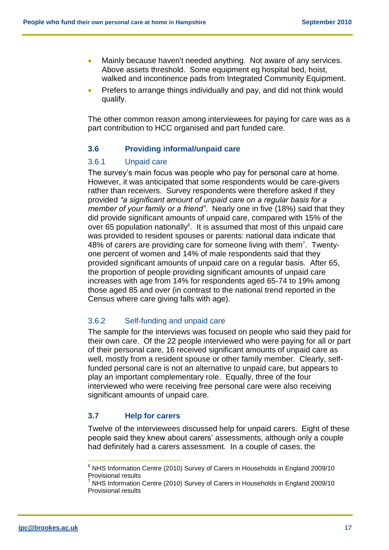- Mainly because haven't needed anything. Not aware of any services. Above assets threshold. Some equipment eg hospital bed, hoist, walked and incontinence pads from Integrated Community Equipment.
- Prefers to arrange things individually and pay, and did not think would qualify.

The other common reason among interviewees for paying for care was as a part contribution to HCC organised and part funded care.

#### **3.6 Providing informal/unpaid care**

#### 3.6.1 Unpaid care

The survey's main focus was people who pay for personal care at home. However, it was anticipated that some respondents would be care-givers rather than receivers. Survey respondents were therefore asked if they provided *"a significant amount of unpaid care on a regular basis for a member of your family or a friend"*. Nearly one in five (18%) said that they did provide significant amounts of unpaid care, compared with 15% of the over 65 population nationally $6$ . It is assumed that most of this unpaid care was provided to resident spouses or parents: national data indicate that 48% of carers are providing care for someone living with them<sup>7</sup>. Twentyone percent of women and 14% of male respondents said that they provided significant amounts of unpaid care on a regular basis. After 65, the proportion of people providing significant amounts of unpaid care increases with age from 14% for respondents aged 65-74 to 19% among those aged 85 and over (in contrast to the national trend reported in the Census where care giving falls with age).

#### 3.6.2 Self-funding and unpaid care

The sample for the interviews was focused on people who said they paid for their own care. Of the 22 people interviewed who were paying for all or part of their personal care, 16 received significant amounts of unpaid care as well, mostly from a resident spouse or other family member. Clearly, selffunded personal care is not an alternative to unpaid care, but appears to play an important complementary role. Equally, three of the four interviewed who were receiving free personal care were also receiving significant amounts of unpaid care.

#### **3.7 Help for carers**

Twelve of the interviewees discussed help for unpaid carers. Eight of these people said they knew about carers' assessments, although only a couple had definitely had a carers assessment. In a couple of cases, the

 $\overline{a}$ 

<sup>6</sup> NHS Information Centre (2010) Survey of Carers in Households in England 2009/10 Provisional results

 $7$  NHS Information Centre (2010) Survey of Carers in Households in England 2009/10 Provisional results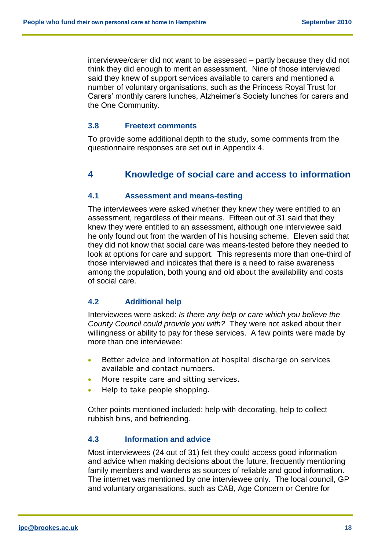interviewee/carer did not want to be assessed – partly because they did not think they did enough to merit an assessment. Nine of those interviewed said they knew of support services available to carers and mentioned a number of voluntary organisations, such as the Princess Royal Trust for Carers' monthly carers lunches, Alzheimer's Society lunches for carers and the One Community.

#### **3.8 Freetext comments**

To provide some additional depth to the study, some comments from the questionnaire responses are set out in Appendix 4.

## **4 Knowledge of social care and access to information**

#### **4.1 Assessment and means-testing**

The interviewees were asked whether they knew they were entitled to an assessment, regardless of their means. Fifteen out of 31 said that they knew they were entitled to an assessment, although one interviewee said he only found out from the warden of his housing scheme. Eleven said that they did not know that social care was means-tested before they needed to look at options for care and support. This represents more than one-third of those interviewed and indicates that there is a need to raise awareness among the population, both young and old about the availability and costs of social care.

#### **4.2 Additional help**

Interviewees were asked: *Is there any help or care which you believe the County Council could provide you with?* They were not asked about their willingness or ability to pay for these services. A few points were made by more than one interviewee:

- **Better advice and information at hospital discharge on services** available and contact numbers.
- More respite care and sitting services.
- Help to take people shopping.

Other points mentioned included: help with decorating, help to collect rubbish bins, and befriending.

#### **4.3 Information and advice**

Most interviewees (24 out of 31) felt they could access good information and advice when making decisions about the future, frequently mentioning family members and wardens as sources of reliable and good information. The internet was mentioned by one interviewee only. The local council, GP and voluntary organisations, such as CAB, Age Concern or Centre for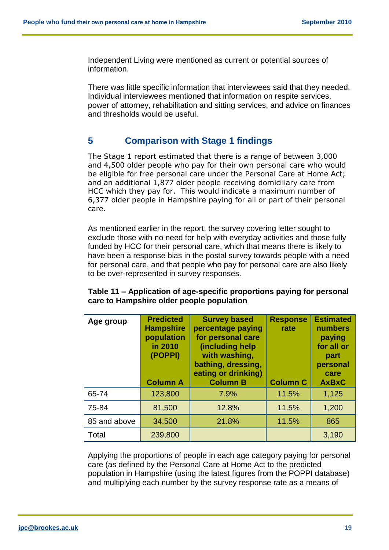Independent Living were mentioned as current or potential sources of information.

There was little specific information that interviewees said that they needed. Individual interviewees mentioned that information on respite services, power of attorney, rehabilitation and sitting services, and advice on finances and thresholds would be useful.

## **5 Comparison with Stage 1 findings**

The Stage 1 report estimated that there is a range of between 3,000 and 4,500 older people who pay for their own personal care who would be eligible for free personal care under the Personal Care at Home Act; and an additional 1,877 older people receiving domiciliary care from HCC which they pay for. This would indicate a maximum number of 6,377 older people in Hampshire paying for all or part of their personal care.

As mentioned earlier in the report, the survey covering letter sought to exclude those with no need for help with everyday activities and those fully funded by HCC for their personal care, which that means there is likely to have been a response bias in the postal survey towards people with a need for personal care, and that people who pay for personal care are also likely to be over-represented in survey responses.

| Age group    | <b>Predicted</b><br><b>Hampshire</b><br>population<br>in 2010<br>(POPPI)<br><b>Column A</b> | <b>Survey based</b><br>percentage paying<br>for personal care<br>(including help<br>with washing,<br>bathing, dressing,<br>eating or drinking)<br><b>Column B</b> | <b>Response</b><br>rate<br><b>Column C</b> | <b>Estimated</b><br>numbers<br>paying<br>for all or<br>part<br>personal<br>care<br><b>AxBxC</b> |
|--------------|---------------------------------------------------------------------------------------------|-------------------------------------------------------------------------------------------------------------------------------------------------------------------|--------------------------------------------|-------------------------------------------------------------------------------------------------|
| 65-74        | 123,800                                                                                     | 7.9%                                                                                                                                                              | 11.5%                                      | 1,125                                                                                           |
| 75-84        | 81,500                                                                                      | 12.8%                                                                                                                                                             | 11.5%                                      | 1,200                                                                                           |
| 85 and above | 34,500                                                                                      | 21.8%                                                                                                                                                             | 11.5%                                      | 865                                                                                             |
| Total        | 239,800                                                                                     |                                                                                                                                                                   |                                            | 3,190                                                                                           |

#### **Table 11 – Application of age-specific proportions paying for personal care to Hampshire older people population**

Applying the proportions of people in each age category paying for personal care (as defined by the Personal Care at Home Act to the predicted population in Hampshire (using the latest figures from the POPPI database) and multiplying each number by the survey response rate as a means of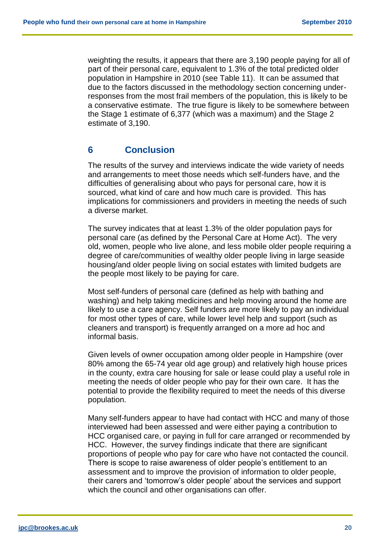weighting the results, it appears that there are 3,190 people paying for all of part of their personal care, equivalent to 1.3% of the total predicted older population in Hampshire in 2010 (see Table 11). It can be assumed that due to the factors discussed in the methodology section concerning underresponses from the most frail members of the population, this is likely to be a conservative estimate. The true figure is likely to be somewhere between the Stage 1 estimate of 6,377 (which was a maximum) and the Stage 2 estimate of 3,190.

## **6 Conclusion**

The results of the survey and interviews indicate the wide variety of needs and arrangements to meet those needs which self-funders have, and the difficulties of generalising about who pays for personal care, how it is sourced, what kind of care and how much care is provided. This has implications for commissioners and providers in meeting the needs of such a diverse market.

The survey indicates that at least 1.3% of the older population pays for personal care (as defined by the Personal Care at Home Act). The very old, women, people who live alone, and less mobile older people requiring a degree of care/communities of wealthy older people living in large seaside housing/and older people living on social estates with limited budgets are the people most likely to be paying for care.

Most self-funders of personal care (defined as help with bathing and washing) and help taking medicines and help moving around the home are likely to use a care agency. Self funders are more likely to pay an individual for most other types of care, while lower level help and support (such as cleaners and transport) is frequently arranged on a more ad hoc and informal basis.

Given levels of owner occupation among older people in Hampshire (over 80% among the 65-74 year old age group) and relatively high house prices in the county, extra care housing for sale or lease could play a useful role in meeting the needs of older people who pay for their own care. It has the potential to provide the flexibility required to meet the needs of this diverse population.

Many self-funders appear to have had contact with HCC and many of those interviewed had been assessed and were either paying a contribution to HCC organised care, or paying in full for care arranged or recommended by HCC. However, the survey findings indicate that there are significant proportions of people who pay for care who have not contacted the council. There is scope to raise awareness of older people's entitlement to an assessment and to improve the provision of information to older people, their carers and 'tomorrow's older people' about the services and support which the council and other organisations can offer.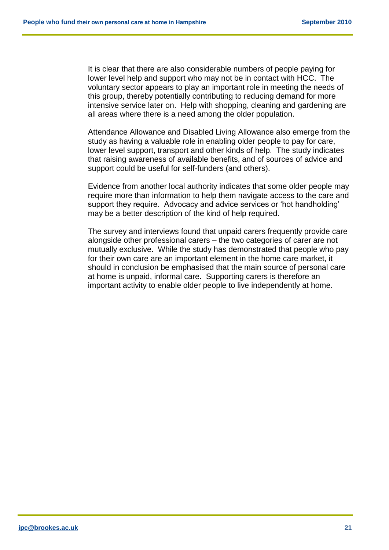It is clear that there are also considerable numbers of people paying for lower level help and support who may not be in contact with HCC. The voluntary sector appears to play an important role in meeting the needs of this group, thereby potentially contributing to reducing demand for more intensive service later on. Help with shopping, cleaning and gardening are all areas where there is a need among the older population.

Attendance Allowance and Disabled Living Allowance also emerge from the study as having a valuable role in enabling older people to pay for care, lower level support, transport and other kinds of help. The study indicates that raising awareness of available benefits, and of sources of advice and support could be useful for self-funders (and others).

Evidence from another local authority indicates that some older people may require more than information to help them navigate access to the care and support they require. Advocacy and advice services or 'hot handholding' may be a better description of the kind of help required.

The survey and interviews found that unpaid carers frequently provide care alongside other professional carers – the two categories of carer are not mutually exclusive. While the study has demonstrated that people who pay for their own care are an important element in the home care market, it should in conclusion be emphasised that the main source of personal care at home is unpaid, informal care. Supporting carers is therefore an important activity to enable older people to live independently at home.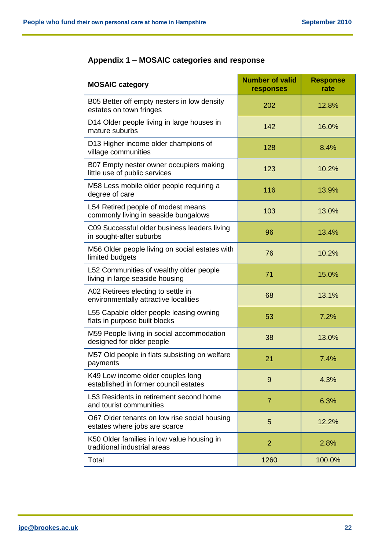| <b>MOSAIC category</b>                                                        | <b>Number of valid</b><br>responses | <b>Response</b><br>rate |
|-------------------------------------------------------------------------------|-------------------------------------|-------------------------|
| B05 Better off empty nesters in low density<br>estates on town fringes        | 202                                 | 12.8%                   |
| D14 Older people living in large houses in<br>mature suburbs                  | 142                                 | 16.0%                   |
| D13 Higher income older champions of<br>village communities                   | 128                                 | 8.4%                    |
| B07 Empty nester owner occupiers making<br>little use of public services      | 123                                 | 10.2%                   |
| M58 Less mobile older people requiring a<br>degree of care                    | 116                                 | 13.9%                   |
| L54 Retired people of modest means<br>commonly living in seaside bungalows    | 103                                 | 13.0%                   |
| C09 Successful older business leaders living<br>in sought-after suburbs       | 96                                  | 13.4%                   |
| M56 Older people living on social estates with<br>limited budgets             | 76                                  | 10.2%                   |
| L52 Communities of wealthy older people<br>living in large seaside housing    | 71                                  | 15.0%                   |
| A02 Retirees electing to settle in<br>environmentally attractive localities   | 68                                  | 13.1%                   |
| L55 Capable older people leasing owning<br>flats in purpose built blocks      | 53                                  | 7.2%                    |
| M59 People living in social accommodation<br>designed for older people        | 38                                  | 13.0%                   |
| M57 Old people in flats subsisting on welfare<br>payments                     | 21                                  | 7.4%                    |
| K49 Low income older couples long<br>established in former council estates    | 9                                   | 4.3%                    |
| L53 Residents in retirement second home<br>and tourist communities            | $\overline{7}$                      | 6.3%                    |
| O67 Older tenants on low rise social housing<br>estates where jobs are scarce | 5                                   | 12.2%                   |
| K50 Older families in low value housing in<br>traditional industrial areas    | $\overline{2}$                      | 2.8%                    |
| Total                                                                         | 1260                                | 100.0%                  |

## **Appendix 1 – MOSAIC categories and response**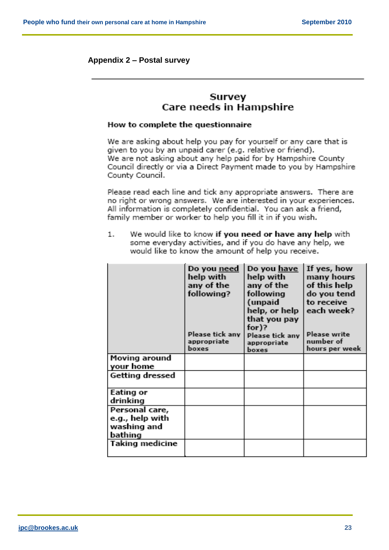#### **Appendix 2 – Postal survey**

## Survey Care needs in Hampshire

#### How to complete the questionnaire

We are asking about help you pay for yourself or any care that is given to you by an unpaid carer (e.g. relative or friend). We are not asking about any help paid for by Hampshire County Council directly or via a Direct Payment made to you by Hampshire County Council.

Please read each line and tick any appropriate answers. There are no right or wrong answers. We are interested in your experiences. All information is completely confidential. You can ask a friend, family member or worker to help you fill it in if you wish.

We would like to know if you need or have any help with  $1.$ some everyday activities, and if you do have any help, we would like to know the amount of help you receive.

| many hours<br>do you tend<br>each week?<br>hours per week |
|-----------------------------------------------------------|
|                                                           |
|                                                           |
|                                                           |
|                                                           |
|                                                           |
|                                                           |
|                                                           |
|                                                           |
|                                                           |
|                                                           |
| of this help                                              |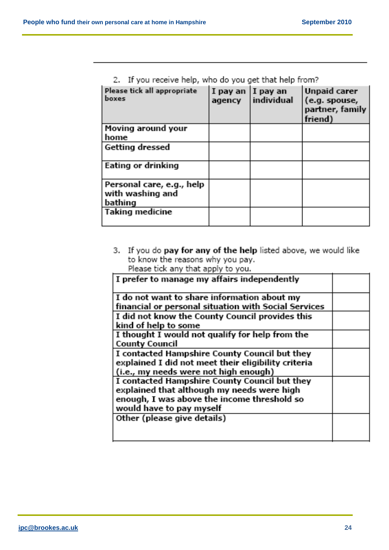| en – al gera lenna de lingua delle ene gera gera circia lingua linguia |                              |              |                                                                    |
|------------------------------------------------------------------------|------------------------------|--------------|--------------------------------------------------------------------|
| Please tick all appropriate<br>boxes                                   | I pay an  I pay an<br>agency | l individual | <b>Unpaid carer</b><br>(e.g. spouse,<br>partner, family<br>friend) |
| Moving around your                                                     |                              |              |                                                                    |
| home                                                                   |                              |              |                                                                    |
| Getting dressed                                                        |                              |              |                                                                    |
| Eating or drinking                                                     |                              |              |                                                                    |
| Personal care, e.g., help                                              |                              |              |                                                                    |
| with washing and                                                       |                              |              |                                                                    |
| bathing                                                                |                              |              |                                                                    |
| Taking medicine                                                        |                              |              |                                                                    |
|                                                                        |                              |              |                                                                    |

|  | 2. If you receive help, who do you get that help from? |  |  |  |  |
|--|--------------------------------------------------------|--|--|--|--|
|  |                                                        |  |  |  |  |

3. If you do pay for any of the help listed above, we would like to know the reasons why you pay.<br>Please tick any that apply to you.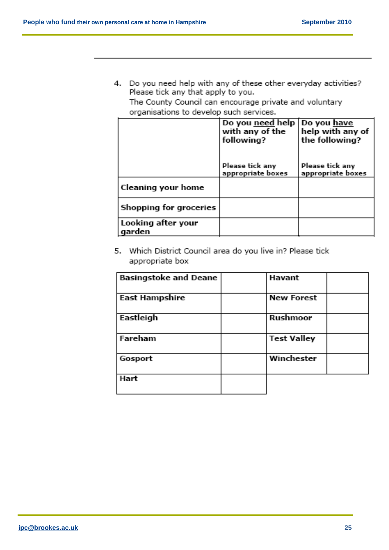4. Do you need help with any of these other everyday activities? Please tick any that apply to you.

The County Council can encourage private and voluntary organisations to develop such services.

|                              | Do you need help   Do you have<br>with any of the<br>following? | help with any of<br>the following?   |
|------------------------------|-----------------------------------------------------------------|--------------------------------------|
|                              | Please tick any<br>appropriate boxes                            | Please tick any<br>appropriate boxes |
| Cleaning your home           |                                                                 |                                      |
| Shopping for groceries       |                                                                 |                                      |
| Looking after your<br>garden |                                                                 |                                      |

5. Which District Council area do you live in? Please tick appropriate box

| <b>Basingstoke and Deane</b> | Havant             |  |
|------------------------------|--------------------|--|
|                              |                    |  |
| <b>East Hampshire</b>        | <b>New Forest</b>  |  |
| Eastleigh                    | Rushmoor           |  |
| Fareham                      | <b>Test Valley</b> |  |
| Gosport                      | Winchester         |  |
| Hart                         |                    |  |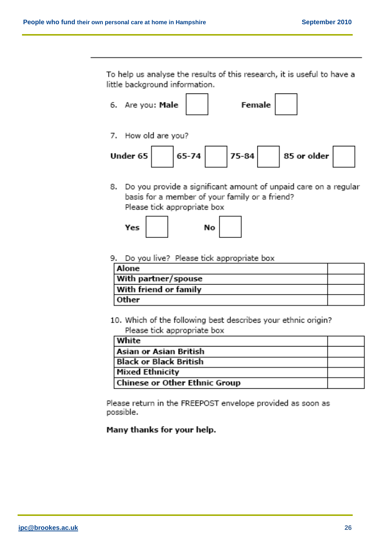To help us analyse the results of this research, it is useful to have a little background information.



7. How old are you?



8. Do you provide a significant amount of unpaid care on a regular basis for a member of your family or a friend? Please tick appropriate box

$$
Yes \qquad No
$$

## 9. Do you live? Please tick appropriate box

| Alone                 |  |
|-----------------------|--|
| With partner/spouse   |  |
| With friend or family |  |
| Other                 |  |

10. Which of the following best describes your ethnic origin? Please tick appropriate box

| <b>White</b>                  |  |
|-------------------------------|--|
| Asian or Asian British        |  |
| <b>Black or Black British</b> |  |
| <b>Mixed Ethnicity</b>        |  |
| Chinese or Other Ethnic Group |  |

Please return in the FREEPOST envelope provided as soon as possible.

## Many thanks for your help.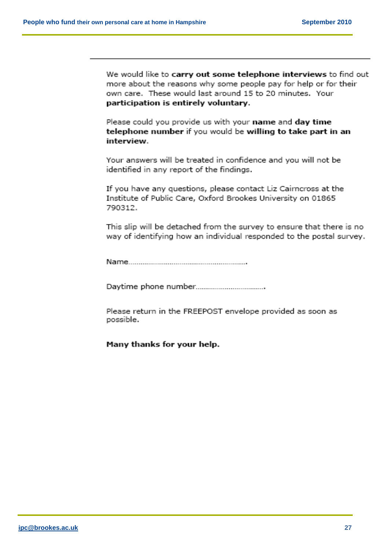We would like to carry out some telephone interviews to find out more about the reasons why some people pay for help or for their own care. These would last around 15 to 20 minutes. Your participation is entirely voluntary.

Please could you provide us with your name and day time telephone number if you would be willing to take part in an interview.

Your answers will be treated in confidence and you will not be identified in any report of the findings.

If you have any questions, please contact Liz Cairncross at the Institute of Public Care, Oxford Brookes University on 01865 790312.

This slip will be detached from the survey to ensure that there is no way of identifying how an individual responded to the postal survey.

Please return in the FREEPOST envelope provided as soon as possible.

Many thanks for your help.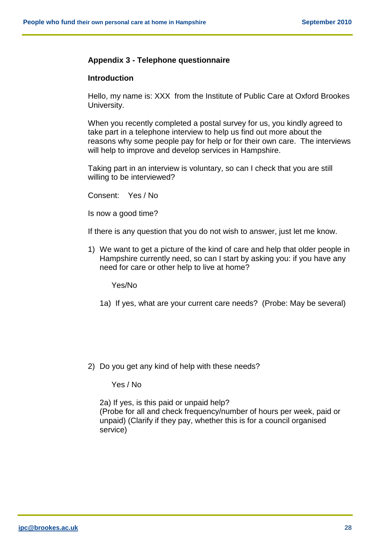## **Appendix 3 - Telephone questionnaire**

## **Introduction**

Hello, my name is: XXX from the Institute of Public Care at Oxford Brookes University.

When you recently completed a postal survey for us, you kindly agreed to take part in a telephone interview to help us find out more about the reasons why some people pay for help or for their own care. The interviews will help to improve and develop services in Hampshire.

Taking part in an interview is voluntary, so can I check that you are still willing to be interviewed?

Consent: Yes / No

Is now a good time?

If there is any question that you do not wish to answer, just let me know.

1) We want to get a picture of the kind of care and help that older people in Hampshire currently need, so can I start by asking you: if you have any need for care or other help to live at home?

Yes/No

- 1a) If yes, what are your current care needs? (Probe: May be several)
- 2) Do you get any kind of help with these needs?

Yes / No

2a) If yes, is this paid or unpaid help? (Probe for all and check frequency/number of hours per week, paid or unpaid) (Clarify if they pay, whether this is for a council organised service)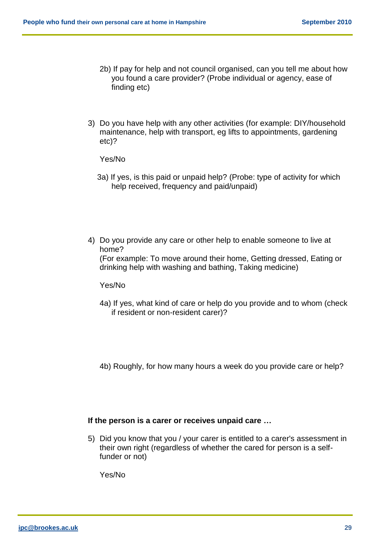- 2b) If pay for help and not council organised, can you tell me about how you found a care provider? (Probe individual or agency, ease of finding etc)
- 3) Do you have help with any other activities (for example: DIY/household maintenance, help with transport, eg lifts to appointments, gardening etc)?

Yes/No

- 3a) If yes, is this paid or unpaid help? (Probe: type of activity for which help received, frequency and paid/unpaid)
- 4) Do you provide any care or other help to enable someone to live at home? (For example: To move around their home, Getting dressed, Eating or drinking help with washing and bathing, Taking medicine)

Yes/No

- 4a) If yes, what kind of care or help do you provide and to whom (check if resident or non-resident carer)?
- 4b) Roughly, for how many hours a week do you provide care or help?

### **If the person is a carer or receives unpaid care …**

5) Did you know that you / your carer is entitled to a carer's assessment in their own right (regardless of whether the cared for person is a selffunder or not)

Yes/No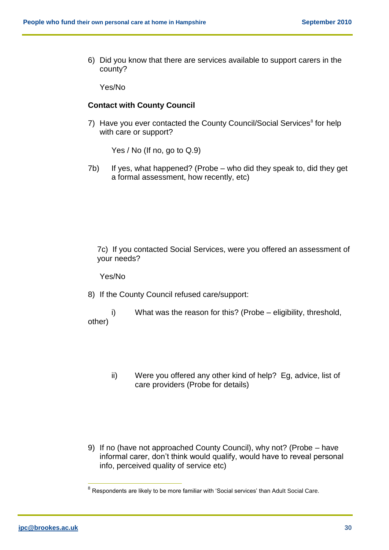6) Did you know that there are services available to support carers in the county?

Yes/No

#### **Contact with County Council**

7) Have you ever contacted the County Council/Social Services<sup>8</sup> for help with care or support?

Yes / No (If no, go to Q.9)

7b) If yes, what happened? (Probe – who did they speak to, did they get a formal assessment, how recently, etc)

7c) If you contacted Social Services, were you offered an assessment of your needs?

Yes/No

8) If the County Council refused care/support:

i) What was the reason for this? (Probe – eligibility, threshold, other)

- ii) Were you offered any other kind of help? Eg, advice, list of care providers (Probe for details)
- 9) If no (have not approached County Council), why not? (Probe have informal carer, don't think would qualify, would have to reveal personal info, perceived quality of service etc)

 8 Respondents are likely to be more familiar with 'Social services' than Adult Social Care.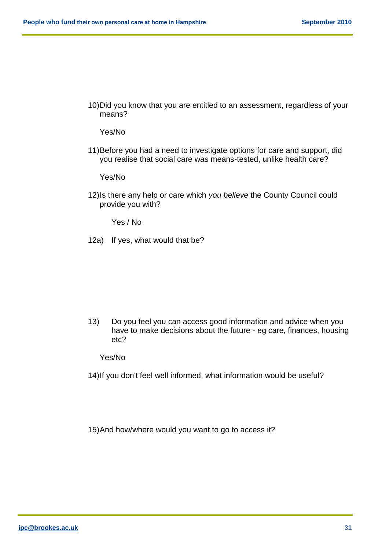10)Did you know that you are entitled to an assessment, regardless of your means?

Yes/No

11)Before you had a need to investigate options for care and support, did you realise that social care was means-tested, unlike health care?

Yes/No

12)Is there any help or care which *you believe* the County Council could provide you with?

Yes / No

12a) If yes, what would that be?

13) Do you feel you can access good information and advice when you have to make decisions about the future - eg care, finances, housing etc?

Yes/No

14)If you don't feel well informed, what information would be useful?

15)And how/where would you want to go to access it?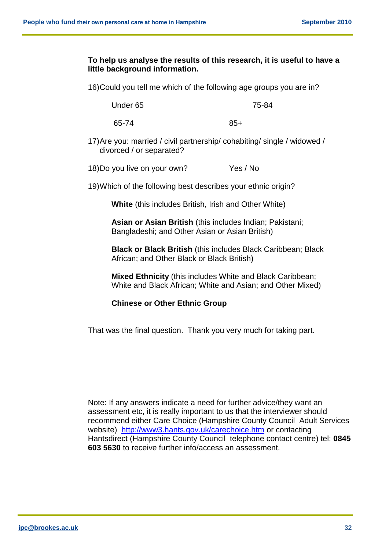## **To help us analyse the results of this research, it is useful to have a little background information.**

16)Could you tell me which of the following age groups you are in?

Under 65 75-84

65-74 85+

17)Are you: married / civil partnership/ cohabiting/ single / widowed / divorced / or separated?

18)Do you live on your own? Yes / No

19)Which of the following best describes your ethnic origin?

**White** (this includes British, Irish and Other White)

**Asian or Asian British** (this includes Indian; Pakistani; Bangladeshi; and Other Asian or Asian British)

**Black or Black British** (this includes Black Caribbean; Black African; and Other Black or Black British)

**Mixed Ethnicity** (this includes White and Black Caribbean; White and Black African; White and Asian; and Other Mixed)

#### **Chinese or Other Ethnic Group**

That was the final question. Thank you very much for taking part.

Note: If any answers indicate a need for further advice/they want an assessment etc, it is really important to us that the interviewer should recommend either Care Choice (Hampshire County Council Adult Services website) <http://www3.hants.gov.uk/carechoice.htm> or contacting Hantsdirect (Hampshire County Council telephone contact centre) tel: **0845 603 5630** to receive further info/access an assessment.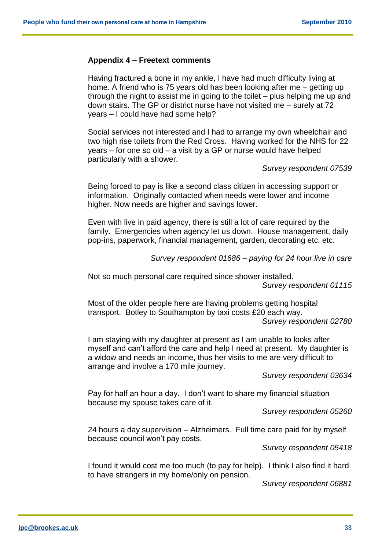#### **Appendix 4 – Freetext comments**

Having fractured a bone in my ankle, I have had much difficulty living at home. A friend who is 75 years old has been looking after me – getting up through the night to assist me in going to the toilet – plus helping me up and down stairs. The GP or district nurse have not visited me – surely at 72 years – I could have had some help?

Social services not interested and I had to arrange my own wheelchair and two high rise toilets from the Red Cross. Having worked for the NHS for 22 years – for one so old – a visit by a GP or nurse would have helped particularly with a shower.

*Survey respondent 07539*

Being forced to pay is like a second class citizen in accessing support or information. Originally contacted when needs were lower and income higher. Now needs are higher and savings lower.

Even with live in paid agency, there is still a lot of care required by the family. Emergencies when agency let us down. House management, daily pop-ins, paperwork, financial management, garden, decorating etc, etc.

*Survey respondent 01686 – paying for 24 hour live in care*

Not so much personal care required since shower installed. *Survey respondent 01115*

Most of the older people here are having problems getting hospital transport. Botley to Southampton by taxi costs £20 each way.

*Survey respondent 02780*

I am staying with my daughter at present as I am unable to looks after myself and can't afford the care and help I need at present. My daughter is a widow and needs an income, thus her visits to me are very difficult to arrange and involve a 170 mile journey.

*Survey respondent 03634*

Pay for half an hour a day. I don't want to share my financial situation because my spouse takes care of it.

*Survey respondent 05260*

24 hours a day supervision – Alzheimers. Full time care paid for by myself because council won't pay costs.

*Survey respondent 05418*

I found it would cost me too much (to pay for help). I think I also find it hard to have strangers in my home/only on pension.

*Survey respondent 06881*